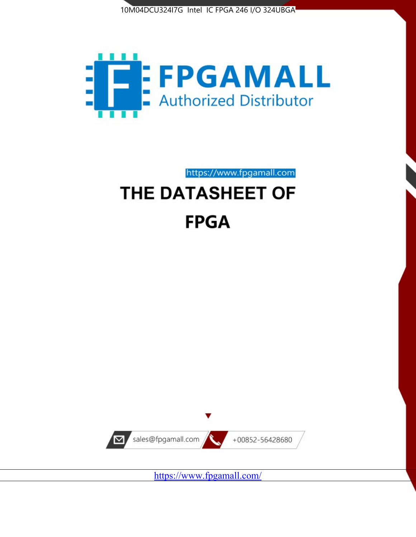



https://www.fpgamall.com THE DATASHEET OF

# **FPGA**



<https://www.fpgamall.com/>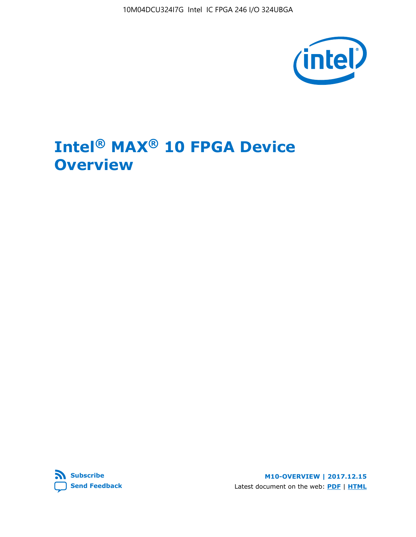10M04DCU324I7G Intel IC FPGA 246 I/O 324UBGA



## **Intel® MAX® 10 FPGA Device Overview**



**M10-OVERVIEW | 2017.12.15** Latest document on the web: **[PDF](https://www.altera.com/en_US/pdfs/literature/hb/max-10/m10_overview.pdf)** | **[HTML](https://www.altera.com/documentation/myt1396938463674.html)**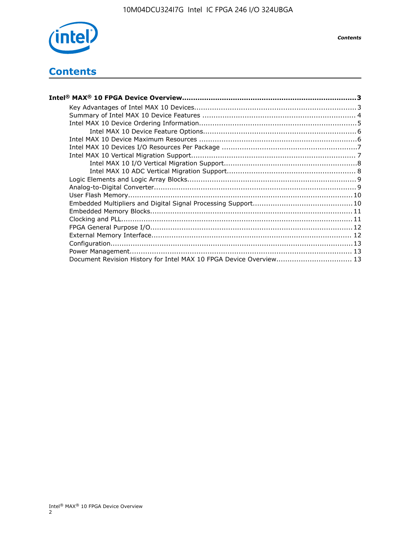

## **Contents**

| Intel® MAX® 10 FPGA Device Overview……………………………………………………………………………3  |  |
|--------------------------------------------------------------------|--|
|                                                                    |  |
|                                                                    |  |
|                                                                    |  |
|                                                                    |  |
|                                                                    |  |
|                                                                    |  |
|                                                                    |  |
|                                                                    |  |
|                                                                    |  |
|                                                                    |  |
|                                                                    |  |
|                                                                    |  |
|                                                                    |  |
|                                                                    |  |
|                                                                    |  |
|                                                                    |  |
|                                                                    |  |
|                                                                    |  |
|                                                                    |  |
| Document Revision History for Intel MAX 10 FPGA Device Overview 13 |  |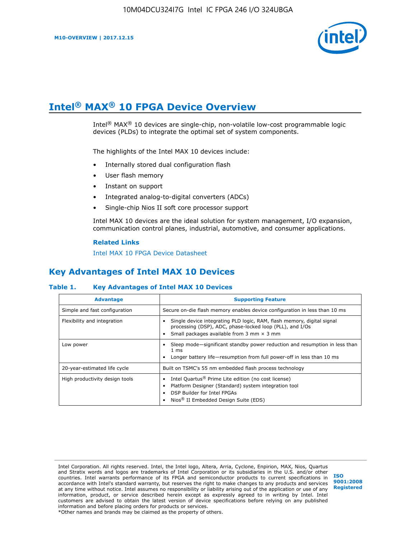

## **Intel® MAX® 10 FPGA Device Overview**

Intel® MAX® 10 devices are single-chip, non-volatile low-cost programmable logic devices (PLDs) to integrate the optimal set of system components.

The highlights of the Intel MAX 10 devices include:

- Internally stored dual configuration flash
- User flash memory
- Instant on support
- Integrated analog-to-digital converters (ADCs)
- Single-chip Nios II soft core processor support

Intel MAX 10 devices are the ideal solution for system management, I/O expansion, communication control planes, industrial, automotive, and consumer applications.

#### **Related Links**

[Intel MAX 10 FPGA Device Datasheet](https://www.altera.com/documentation/mcn1397700832153.html#mcn1397643748870)

## **Key Advantages of Intel MAX 10 Devices**

#### **Table 1. Key Advantages of Intel MAX 10 Devices**

| <b>Advantage</b>               | <b>Supporting Feature</b>                                                                                                                                                                                  |  |  |  |  |
|--------------------------------|------------------------------------------------------------------------------------------------------------------------------------------------------------------------------------------------------------|--|--|--|--|
| Simple and fast configuration  | Secure on-die flash memory enables device configuration in less than 10 ms                                                                                                                                 |  |  |  |  |
| Flexibility and integration    | Single device integrating PLD logic, RAM, flash memory, digital signal<br>processing (DSP), ADC, phase-locked loop (PLL), and I/Os<br>Small packages available from 3 mm $\times$ 3 mm                     |  |  |  |  |
| Low power                      | Sleep mode—significant standby power reduction and resumption in less than<br>$1 \text{ ms}$<br>Longer battery life—resumption from full power-off in less than 10 ms                                      |  |  |  |  |
| 20-year-estimated life cycle   | Built on TSMC's 55 nm embedded flash process technology                                                                                                                                                    |  |  |  |  |
| High productivity design tools | Intel Quartus <sup>®</sup> Prime Lite edition (no cost license)<br>Platform Designer (Standard) system integration tool<br>DSP Builder for Intel FPGAs<br>Nios <sup>®</sup> II Embedded Design Suite (EDS) |  |  |  |  |

Intel Corporation. All rights reserved. Intel, the Intel logo, Altera, Arria, Cyclone, Enpirion, MAX, Nios, Quartus and Stratix words and logos are trademarks of Intel Corporation or its subsidiaries in the U.S. and/or other countries. Intel warrants performance of its FPGA and semiconductor products to current specifications in accordance with Intel's standard warranty, but reserves the right to make changes to any products and services at any time without notice. Intel assumes no responsibility or liability arising out of the application or use of any information, product, or service described herein except as expressly agreed to in writing by Intel. Intel customers are advised to obtain the latest version of device specifications before relying on any published information and before placing orders for products or services. \*Other names and brands may be claimed as the property of others.

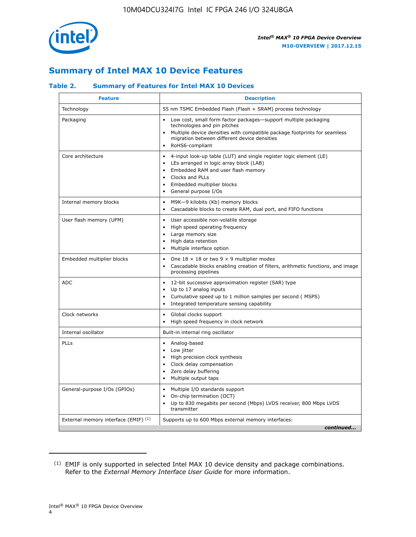

## **Summary of Intel MAX 10 Device Features**

#### **Table 2. Summary of Features for Intel MAX 10 Devices**

| <b>Feature</b>                       | <b>Description</b>                                                                                                                                                                                                                                                                                         |
|--------------------------------------|------------------------------------------------------------------------------------------------------------------------------------------------------------------------------------------------------------------------------------------------------------------------------------------------------------|
| Technology                           | 55 nm TSMC Embedded Flash (Flash + SRAM) process technology                                                                                                                                                                                                                                                |
| Packaging                            | Low cost, small form factor packages-support multiple packaging<br>technologies and pin pitches<br>Multiple device densities with compatible package footprints for seamless<br>migration between different device densities<br>RoHS6-compliant                                                            |
| Core architecture                    | 4-input look-up table (LUT) and single register logic element (LE)<br>$\bullet$<br>LEs arranged in logic array block (LAB)<br>$\bullet$<br>Embedded RAM and user flash memory<br>$\bullet$<br>Clocks and PLLs<br>$\bullet$<br>Embedded multiplier blocks<br>$\bullet$<br>General purpose I/Os<br>$\bullet$ |
| Internal memory blocks               | M9K-9 kilobits (Kb) memory blocks<br>$\bullet$<br>Cascadable blocks to create RAM, dual port, and FIFO functions<br>$\bullet$                                                                                                                                                                              |
| User flash memory (UFM)              | User accessible non-volatile storage<br>$\bullet$<br>High speed operating frequency<br>$\bullet$<br>Large memory size<br>High data retention<br>$\bullet$<br>Multiple interface option                                                                                                                     |
| Embedded multiplier blocks           | One $18 \times 18$ or two 9 $\times$ 9 multiplier modes<br>$\bullet$<br>Cascadable blocks enabling creation of filters, arithmetic functions, and image<br>processing pipelines                                                                                                                            |
| <b>ADC</b>                           | 12-bit successive approximation register (SAR) type<br>$\bullet$<br>Up to 17 analog inputs<br>$\bullet$<br>Cumulative speed up to 1 million samples per second (MSPS)<br>Integrated temperature sensing capability<br>$\bullet$                                                                            |
| Clock networks                       | Global clocks support<br>$\bullet$<br>High speed frequency in clock network                                                                                                                                                                                                                                |
| Internal oscillator                  | Built-in internal ring oscillator                                                                                                                                                                                                                                                                          |
| PLLs                                 | • Analog-based<br>Low jitter<br>$\bullet$<br>High precision clock synthesis<br>$\bullet$<br>Clock delay compensation<br>$\bullet$<br>Zero delay buffering<br>$\bullet$<br>Multiple output taps<br>$\bullet$                                                                                                |
| General-purpose I/Os (GPIOs)         | • Multiple I/O standards support<br>On-chip termination (OCT)<br>$\bullet$<br>Up to 830 megabits per second (Mbps) LVDS receiver, 800 Mbps LVDS<br>transmitter                                                                                                                                             |
| External memory interface (EMIF) (1) | Supports up to 600 Mbps external memory interfaces:<br>continued                                                                                                                                                                                                                                           |

<sup>(1)</sup> EMIF is only supported in selected Intel MAX 10 device density and package combinations. Refer to the *External Memory Interface User Guide* for more information.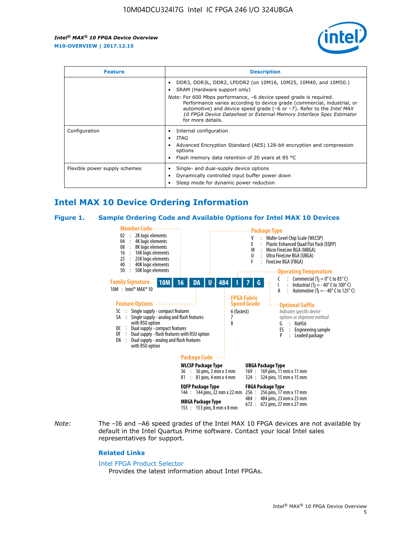

| <b>Feature</b>                | <b>Description</b>                                                                                                                                                                                                                                                                                                                             |  |  |  |
|-------------------------------|------------------------------------------------------------------------------------------------------------------------------------------------------------------------------------------------------------------------------------------------------------------------------------------------------------------------------------------------|--|--|--|
|                               | DDR3, DDR3L, DDR2, LPDDR2 (on 10M16, 10M25, 10M40, and 10M50.)<br>SRAM (Hardware support only)                                                                                                                                                                                                                                                 |  |  |  |
|                               | <i>Note:</i> For 600 Mbps performance, -6 device speed grade is required.<br>Performance varies according to device grade (commercial, industrial, or<br>automotive) and device speed grade $(-6 \text{ or } -7)$ . Refer to the <i>Intel MAX</i><br>10 FPGA Device Datasheet or External Memory Interface Spec Estimator<br>for more details. |  |  |  |
| Configuration                 | Internal configuration                                                                                                                                                                                                                                                                                                                         |  |  |  |
|                               | JTAG<br>٠                                                                                                                                                                                                                                                                                                                                      |  |  |  |
|                               | Advanced Encryption Standard (AES) 128-bit encryption and compression<br>options                                                                                                                                                                                                                                                               |  |  |  |
|                               | Flash memory data retention of 20 years at 85 $^{\circ}$ C                                                                                                                                                                                                                                                                                     |  |  |  |
| Flexible power supply schemes | Single- and dual-supply device options                                                                                                                                                                                                                                                                                                         |  |  |  |
|                               | Dynamically controlled input buffer power down                                                                                                                                                                                                                                                                                                 |  |  |  |
|                               | Sleep mode for dynamic power reduction                                                                                                                                                                                                                                                                                                         |  |  |  |

## **Intel MAX 10 Device Ordering Information**

#### **Figure 1. Sample Ordering Code and Available Options for Intel MAX 10 Devices**



*Note:* The –I6 and –A6 speed grades of the Intel MAX 10 FPGA devices are not available by default in the Intel Quartus Prime software. Contact your local Intel sales representatives for support.

#### **Related Links**

#### [Intel FPGA Product Selector](http://www.altera.com/products/selector/psg-selector.html)

Provides the latest information about Intel FPGAs.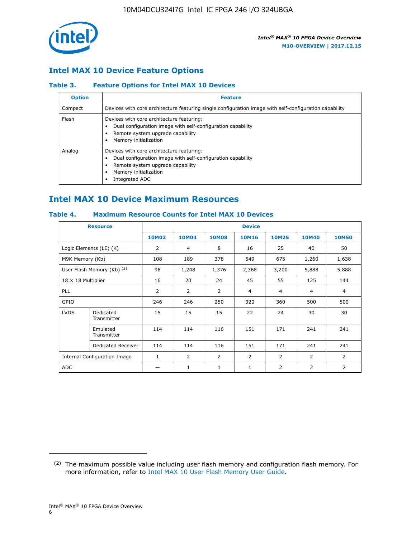

### **Intel MAX 10 Device Feature Options**

#### **Table 3. Feature Options for Intel MAX 10 Devices**

| <b>Option</b> | <b>Feature</b>                                                                                                                                                                          |
|---------------|-----------------------------------------------------------------------------------------------------------------------------------------------------------------------------------------|
| Compact       | Devices with core architecture featuring single configuration image with self-configuration capability                                                                                  |
| Flash         | Devices with core architecture featuring:<br>Dual configuration image with self-configuration capability<br>Remote system upgrade capability<br>Memory initialization                   |
| Analog        | Devices with core architecture featuring:<br>Dual configuration image with self-configuration capability<br>Remote system upgrade capability<br>Memory initialization<br>Integrated ADC |

## **Intel MAX 10 Device Maximum Resources**

#### **Table 4. Maximum Resource Counts for Intel MAX 10 Devices**

|                           | <b>Resource</b>              |                |              |              | <b>Device</b>  |                |              |                |
|---------------------------|------------------------------|----------------|--------------|--------------|----------------|----------------|--------------|----------------|
|                           |                              | <b>10M02</b>   | <b>10M04</b> | <b>10M08</b> | <b>10M16</b>   | <b>10M25</b>   | <b>10M40</b> | <b>10M50</b>   |
|                           | Logic Elements (LE) (K)      | $\overline{2}$ | 4            | 8            | 16             | 25             | 40           | 50             |
| M9K Memory (Kb)           |                              | 108            | 189          | 378          | 549            | 675            | 1,260        | 1,638          |
|                           | User Flash Memory (Kb) (2)   | 96             | 1,248        | 1,376        | 2,368          | 3,200          | 5,888        | 5,888          |
| $18 \times 18$ Multiplier |                              | 16             | 20           | 24           | 45             | 55             | 125          | 144            |
| <b>PLL</b>                |                              | 2              | 2            | 2            | $\overline{4}$ | $\overline{4}$ | 4            | $\overline{4}$ |
| GPIO                      |                              | 246            | 246          | 250          | 320            | 360            | 500          | 500            |
| <b>LVDS</b>               | Dedicated<br>Transmitter     | 15             | 15           | 15           | 22             | 24             | 30           | 30             |
|                           | Emulated<br>Transmitter      | 114            | 114          | 116          | 151            | 171            | 241          | 241            |
|                           | Dedicated Receiver           | 114            | 114          | 116          | 151            | 171            | 241          | 241            |
|                           | Internal Configuration Image | $\mathbf{1}$   | 2            | 2            | $\overline{2}$ | 2              | 2            | $\overline{2}$ |
| <b>ADC</b>                |                              |                | 1            | 1            | $\mathbf{1}$   | 2              | 2            | 2              |

<sup>(2)</sup> The maximum possible value including user flash memory and configuration flash memory. For more information, refer to [Intel MAX 10 User Flash Memory User Guide](https://www.altera.com/documentation/vgo1395753117436.html#vgo1395811844282).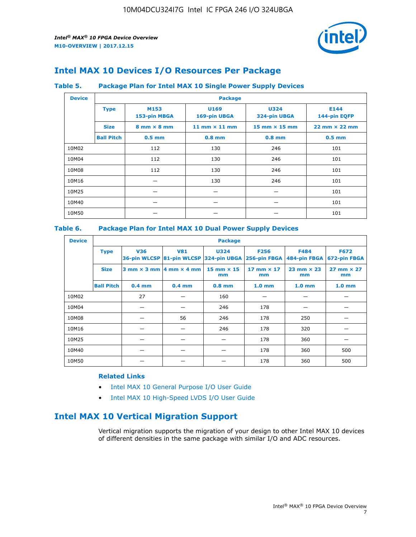

## **Intel MAX 10 Devices I/O Resources Per Package**

#### **Table 5. Package Plan for Intel MAX 10 Single Power Supply Devices**

| <b>Device</b> |                   | <b>Package</b>                     |                      |                             |                                      |  |  |  |  |
|---------------|-------------------|------------------------------------|----------------------|-----------------------------|--------------------------------------|--|--|--|--|
|               | <b>Type</b>       | M153<br>153-pin MBGA               | U169<br>169-pin UBGA | <b>U324</b><br>324-pin UBGA | E144<br>144-pin EQFP                 |  |  |  |  |
|               | <b>Size</b>       | $8 \text{ mm} \times 8 \text{ mm}$ | 11 mm $\times$ 11 mm | $15$ mm $\times$ 15 mm      | $22 \text{ mm} \times 22 \text{ mm}$ |  |  |  |  |
|               | <b>Ball Pitch</b> | $0.5$ mm                           | $0.8$ mm             | $0.8$ mm                    | $0.5$ mm                             |  |  |  |  |
| 10M02         |                   | 112                                | 130                  | 246                         | 101                                  |  |  |  |  |
| 10M04         |                   | 112                                | 130                  | 246                         | 101                                  |  |  |  |  |
| 10M08         | 112<br>130        |                                    | 246                  | 101                         |                                      |  |  |  |  |
| 10M16         |                   |                                    | 130                  | 246                         | 101                                  |  |  |  |  |
| 10M25         |                   |                                    |                      |                             | 101                                  |  |  |  |  |
| 10M40         |                   |                                    |                      |                             | 101                                  |  |  |  |  |
| 10M50         |                   |                                    |                      |                             | 101                                  |  |  |  |  |

#### **Table 6. Package Plan for Intel MAX 10 Dual Power Supply Devices**

| <b>Device</b> |                   | <b>Package</b> |                                            |                                                                    |                         |                           |                             |  |  |
|---------------|-------------------|----------------|--------------------------------------------|--------------------------------------------------------------------|-------------------------|---------------------------|-----------------------------|--|--|
|               | <b>Type</b>       | <b>V36</b>     | <b>V81</b>                                 | <b>U324</b><br>36-pin WLCSP 81-pin WLCSP 324-pin UBGA 256-pin FBGA | <b>F256</b>             | F484<br>484-pin FBGA      | <b>F672</b><br>672-pin FBGA |  |  |
|               | <b>Size</b>       |                | $3$ mm $\times$ 3 mm $ 4$ mm $\times$ 4 mm | $15$ mm $\times$ 15<br>mm                                          | 17 mm $\times$ 17<br>mm | $23$ mm $\times$ 23<br>mm | $27$ mm $\times$ 27<br>mm   |  |  |
|               | <b>Ball Pitch</b> | $0.4$ mm       | $0.4$ mm                                   | $0.8$ mm                                                           | 1.0 <sub>mm</sub>       | 1.0 <sub>mm</sub>         | 1.0 <sub>mm</sub>           |  |  |
| 10M02         |                   | 27             |                                            | 160                                                                |                         |                           |                             |  |  |
| 10M04         |                   |                |                                            | 246                                                                | 178                     |                           |                             |  |  |
| 10M08         |                   |                | 56                                         | 246                                                                | 178                     | 250                       |                             |  |  |
| 10M16         |                   |                |                                            | 246                                                                | 178                     | 320                       |                             |  |  |
| 10M25         |                   |                |                                            |                                                                    | 178                     | 360                       |                             |  |  |
| 10M40         |                   |                |                                            |                                                                    | 178                     | 360                       | 500                         |  |  |
| 10M50         |                   |                |                                            |                                                                    | 178                     | 360                       | 500                         |  |  |

#### **Related Links**

- [Intel MAX 10 General Purpose I/O User Guide](https://www.altera.com/documentation/sam1393999966669.html#sam1394000084476)
- [Intel MAX 10 High-Speed LVDS I/O User Guide](https://www.altera.com/documentation/sam1394433606063.html#sam1394433911642)

## **Intel MAX 10 Vertical Migration Support**

Vertical migration supports the migration of your design to other Intel MAX 10 devices of different densities in the same package with similar I/O and ADC resources.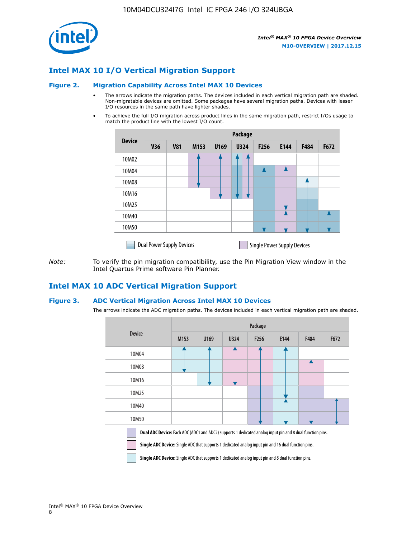

### **Intel MAX 10 I/O Vertical Migration Support**

#### **Figure 2. Migration Capability Across Intel MAX 10 Devices**

- The arrows indicate the migration paths. The devices included in each vertical migration path are shaded. Non-migratable devices are omitted. Some packages have several migration paths. Devices with lesser I/O resources in the same path have lighter shades.
- To achieve the full I/O migration across product lines in the same migration path, restrict I/Os usage to match the product line with the lowest I/O count.

|               | <b>Package</b>                   |            |      |      |             |      |                                    |      |      |
|---------------|----------------------------------|------------|------|------|-------------|------|------------------------------------|------|------|
| <b>Device</b> | <b>V36</b>                       | <b>V81</b> | M153 | U169 | <b>U324</b> | F256 | E144                               | F484 | F672 |
| 10M02         |                                  |            |      |      | 7           |      |                                    |      |      |
| 10M04         |                                  |            |      |      |             |      |                                    |      |      |
| 10M08         |                                  |            |      |      |             |      |                                    |      |      |
| 10M16         |                                  |            |      |      |             |      |                                    |      |      |
| 10M25         |                                  |            |      |      |             |      |                                    |      |      |
| 10M40         |                                  |            |      |      |             |      |                                    |      |      |
| 10M50         |                                  |            |      |      |             |      |                                    |      |      |
|               | <b>Dual Power Supply Devices</b> |            |      |      |             |      | <b>Single Power Supply Devices</b> |      |      |

*Note:* To verify the pin migration compatibility, use the Pin Migration View window in the Intel Quartus Prime software Pin Planner.

#### **Intel MAX 10 ADC Vertical Migration Support**

#### **Figure 3. ADC Vertical Migration Across Intel MAX 10 Devices**

The arrows indicate the ADC migration paths. The devices included in each vertical migration path are shaded.

|                                                                                                                                                                                                                         | Package |      |      |                  |      |      |      |  |
|-------------------------------------------------------------------------------------------------------------------------------------------------------------------------------------------------------------------------|---------|------|------|------------------|------|------|------|--|
| <b>Device</b>                                                                                                                                                                                                           | M153    | U169 | U324 | F <sub>256</sub> | E144 | F484 | F672 |  |
| 10M04                                                                                                                                                                                                                   |         |      |      |                  |      |      |      |  |
| 10M08                                                                                                                                                                                                                   |         |      |      |                  |      |      |      |  |
| 10M16                                                                                                                                                                                                                   |         |      |      |                  |      |      |      |  |
| 10M25                                                                                                                                                                                                                   |         |      |      |                  |      |      |      |  |
| 10M40                                                                                                                                                                                                                   |         |      |      |                  |      |      |      |  |
| 10M50                                                                                                                                                                                                                   |         |      |      |                  |      |      |      |  |
| Dual ADC Device: Each ADC (ADC1 and ADC2) supports 1 dedicated analog input pin and 8 dual function pins.<br><b>Single ADC Device:</b> Single ADC that supports 1 dedicated analog input pin and 16 dual function pins. |         |      |      |                  |      |      |      |  |

**Single ADC Device:** Single ADC that supports 1 dedicated analog input pin and 8 dual function pins.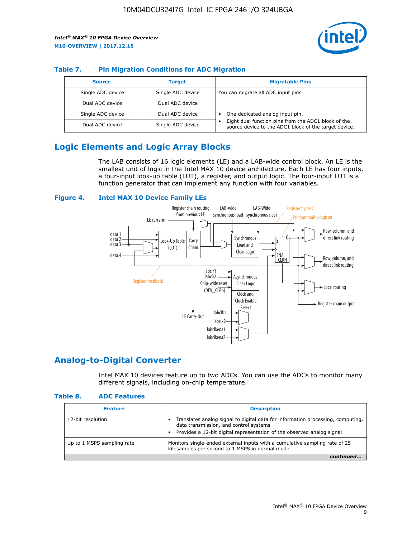

#### **Table 7. Pin Migration Conditions for ADC Migration**

| <b>Source</b>     | <b>Target</b>     | <b>Migratable Pins</b>                                                                                            |
|-------------------|-------------------|-------------------------------------------------------------------------------------------------------------------|
| Single ADC device | Single ADC device | You can migrate all ADC input pins                                                                                |
| Dual ADC device   | Dual ADC device   |                                                                                                                   |
| Single ADC device | Dual ADC device   | One dedicated analog input pin.                                                                                   |
| Dual ADC device   | Single ADC device | Eight dual function pins from the ADC1 block of the<br>٠<br>source device to the ADC1 block of the target device. |

## **Logic Elements and Logic Array Blocks**

The LAB consists of 16 logic elements (LE) and a LAB-wide control block. An LE is the smallest unit of logic in the Intel MAX 10 device architecture. Each LE has four inputs, a four-input look-up table (LUT), a register, and output logic. The four-input LUT is a function generator that can implement any function with four variables.

#### **Figure 4. Intel MAX 10 Device Family LEs**



#### **Analog-to-Digital Converter**

Intel MAX 10 devices feature up to two ADCs. You can use the ADCs to monitor many different signals, including on-chip temperature.

#### **Table 8. ADC Features**

| <b>Feature</b>             | <b>Description</b>                                                                                                                                                                                  |
|----------------------------|-----------------------------------------------------------------------------------------------------------------------------------------------------------------------------------------------------|
| 12-bit resolution          | Translates analog signal to digital data for information processing, computing,<br>data transmission, and control systems<br>Provides a 12-bit digital representation of the observed analog signal |
| Up to 1 MSPS sampling rate | Monitors single-ended external inputs with a cumulative sampling rate of 25<br>kilosamples per second to 1 MSPS in normal mode                                                                      |
|                            |                                                                                                                                                                                                     |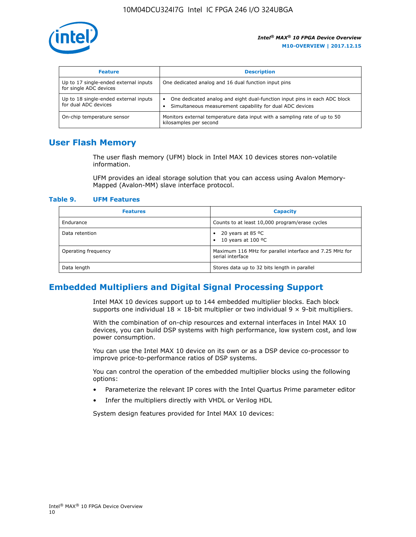

| <b>Feature</b>                                                  | <b>Description</b>                                                                                                                         |
|-----------------------------------------------------------------|--------------------------------------------------------------------------------------------------------------------------------------------|
| Up to 17 single-ended external inputs<br>for single ADC devices | One dedicated analog and 16 dual function input pins                                                                                       |
| Up to 18 single-ended external inputs<br>for dual ADC devices   | One dedicated analog and eight dual-function input pins in each ADC block<br>٠<br>Simultaneous measurement capability for dual ADC devices |
| On-chip temperature sensor                                      | Monitors external temperature data input with a sampling rate of up to 50<br>kilosamples per second                                        |

## **User Flash Memory**

The user flash memory (UFM) block in Intel MAX 10 devices stores non-volatile information.

UFM provides an ideal storage solution that you can access using Avalon Memory-Mapped (Avalon-MM) slave interface protocol.

#### **Table 9. UFM Features**

| <b>Features</b>     | <b>Capacity</b>                                                             |
|---------------------|-----------------------------------------------------------------------------|
| Endurance           | Counts to at least 10,000 program/erase cycles                              |
| Data retention      | 20 years at 85 $^{\circ}$ C<br>٠<br>10 years at 100 °C<br>$\bullet$         |
| Operating frequency | Maximum 116 MHz for parallel interface and 7.25 MHz for<br>serial interface |
| Data length         | Stores data up to 32 bits length in parallel                                |

## **Embedded Multipliers and Digital Signal Processing Support**

Intel MAX 10 devices support up to 144 embedded multiplier blocks. Each block supports one individual  $18 \times 18$ -bit multiplier or two individual  $9 \times 9$ -bit multipliers.

With the combination of on-chip resources and external interfaces in Intel MAX 10 devices, you can build DSP systems with high performance, low system cost, and low power consumption.

You can use the Intel MAX 10 device on its own or as a DSP device co-processor to improve price-to-performance ratios of DSP systems.

You can control the operation of the embedded multiplier blocks using the following options:

- Parameterize the relevant IP cores with the Intel Quartus Prime parameter editor
- Infer the multipliers directly with VHDL or Verilog HDL

System design features provided for Intel MAX 10 devices: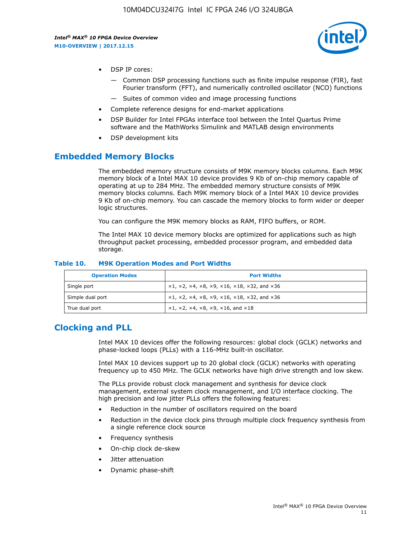

- DSP IP cores:
	- Common DSP processing functions such as finite impulse response (FIR), fast Fourier transform (FFT), and numerically controlled oscillator (NCO) functions
	- Suites of common video and image processing functions
- Complete reference designs for end-market applications
- DSP Builder for Intel FPGAs interface tool between the Intel Quartus Prime software and the MathWorks Simulink and MATLAB design environments
- DSP development kits

#### **Embedded Memory Blocks**

The embedded memory structure consists of M9K memory blocks columns. Each M9K memory block of a Intel MAX 10 device provides 9 Kb of on-chip memory capable of operating at up to 284 MHz. The embedded memory structure consists of M9K memory blocks columns. Each M9K memory block of a Intel MAX 10 device provides 9 Kb of on-chip memory. You can cascade the memory blocks to form wider or deeper logic structures.

You can configure the M9K memory blocks as RAM, FIFO buffers, or ROM.

The Intel MAX 10 device memory blocks are optimized for applications such as high throughput packet processing, embedded processor program, and embedded data storage.

| <b>Operation Modes</b> | <b>Port Widths</b>                                                            |
|------------------------|-------------------------------------------------------------------------------|
| Single port            | $x1, x2, x4, x8, x9, x16, x18, x32, and x36$                                  |
| Simple dual port       | $x1, x2, x4, x8, x9, x16, x18, x32, and x36$                                  |
| True dual port         | $\times1, \times2, \times4, \times8, \times9, \times16, \text{and } \times18$ |

#### **Table 10. M9K Operation Modes and Port Widths**

## **Clocking and PLL**

Intel MAX 10 devices offer the following resources: global clock (GCLK) networks and phase-locked loops (PLLs) with a 116-MHz built-in oscillator.

Intel MAX 10 devices support up to 20 global clock (GCLK) networks with operating frequency up to 450 MHz. The GCLK networks have high drive strength and low skew.

The PLLs provide robust clock management and synthesis for device clock management, external system clock management, and I/O interface clocking. The high precision and low jitter PLLs offers the following features:

- Reduction in the number of oscillators required on the board
- Reduction in the device clock pins through multiple clock frequency synthesis from a single reference clock source
- Frequency synthesis
- On-chip clock de-skew
- Jitter attenuation
- Dynamic phase-shift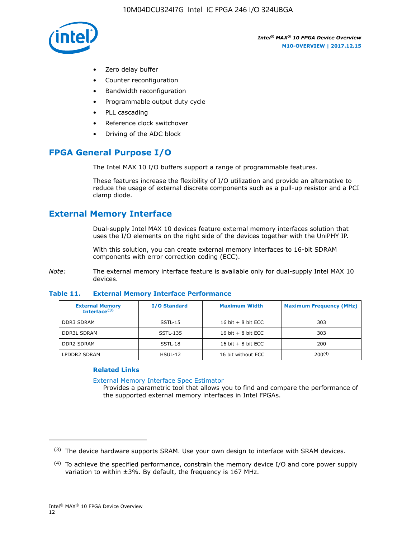

- Zero delay buffer
- Counter reconfiguration
- Bandwidth reconfiguration
- Programmable output duty cycle
- PLL cascading
- Reference clock switchover
- Driving of the ADC block

## **FPGA General Purpose I/O**

The Intel MAX 10 I/O buffers support a range of programmable features.

These features increase the flexibility of I/O utilization and provide an alternative to reduce the usage of external discrete components such as a pull-up resistor and a PCI clamp diode.

## **External Memory Interface**

Dual-supply Intel MAX 10 devices feature external memory interfaces solution that uses the I/O elements on the right side of the devices together with the UniPHY IP.

With this solution, you can create external memory interfaces to 16-bit SDRAM components with error correction coding (ECC).

*Note:* The external memory interface feature is available only for dual-supply Intel MAX 10 devices.

#### **Table 11. External Memory Interface Performance**

| <b>External Memory</b><br>Interface $(3)$ | <b>I/O Standard</b> | <b>Maximum Width</b> | <b>Maximum Frequency (MHz)</b> |
|-------------------------------------------|---------------------|----------------------|--------------------------------|
| <b>DDR3 SDRAM</b>                         | SSTL-15             | 16 bit $+8$ bit ECC  | 303                            |
| <b>DDR3L SDRAM</b>                        | SSTL-135            | 16 bit $+8$ bit ECC  | 303                            |
| <b>DDR2 SDRAM</b>                         | SSTL-18             | 16 bit $+8$ bit ECC  | 200                            |
| LPDDR2 SDRAM                              | $HSUL-12$           | 16 bit without ECC   | $200^{(4)}$                    |

#### **Related Links**

[External Memory Interface Spec Estimator](http://www.altera.com/technology/memory/estimator/mem-emif-index.html)

Provides a parametric tool that allows you to find and compare the performance of the supported external memory interfaces in Intel FPGAs.

 $(3)$  The device hardware supports SRAM. Use your own design to interface with SRAM devices.

 $(4)$  To achieve the specified performance, constrain the memory device I/O and core power supply variation to within ±3%. By default, the frequency is 167 MHz.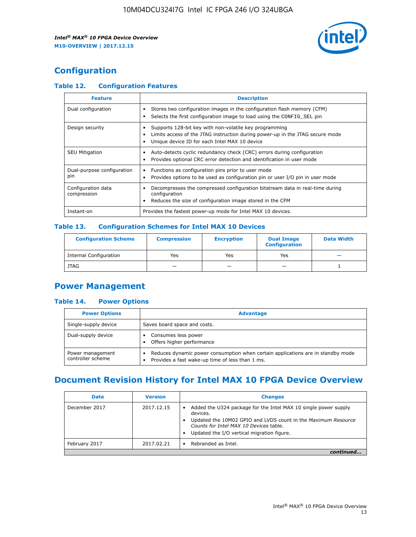

## **Configuration**

#### **Table 12. Configuration Features**

| <b>Feature</b>                    | <b>Description</b>                                                                                                                                                                       |
|-----------------------------------|------------------------------------------------------------------------------------------------------------------------------------------------------------------------------------------|
| Dual configuration                | Stores two configuration images in the configuration flash memory (CFM)<br>Selects the first configuration image to load using the CONFIG SEL pin                                        |
| Design security                   | Supports 128-bit key with non-volatile key programming<br>Limits access of the JTAG instruction during power-up in the JTAG secure mode<br>Unique device ID for each Intel MAX 10 device |
| <b>SEU Mitigation</b>             | Auto-detects cyclic redundancy check (CRC) errors during configuration<br>Provides optional CRC error detection and identification in user mode                                          |
| Dual-purpose configuration<br>pin | Functions as configuration pins prior to user mode<br>$\bullet$<br>Provides options to be used as configuration pin or user I/O pin in user mode                                         |
| Configuration data<br>compression | Decompresses the compressed configuration bitstream data in real-time during<br>configuration<br>Reduces the size of configuration image stored in the CFM                               |
| Instant-on                        | Provides the fastest power-up mode for Intel MAX 10 devices.                                                                                                                             |

#### **Table 13. Configuration Schemes for Intel MAX 10 Devices**

| <b>Configuration Scheme</b>   | <b>Compression</b>       | <b>Encryption</b> | <b>Dual Image</b><br><b>Configuration</b> | <b>Data Width</b> |
|-------------------------------|--------------------------|-------------------|-------------------------------------------|-------------------|
| <b>Internal Configuration</b> | Yes                      | Yes               | Yes                                       |                   |
| <b>JTAG</b>                   | $\overline{\phantom{a}}$ |                   | -                                         |                   |

## **Power Management**

#### **Table 14. Power Options**

| <b>Power Options</b>                  | <b>Advantage</b>                                                                                                                        |  |
|---------------------------------------|-----------------------------------------------------------------------------------------------------------------------------------------|--|
| Single-supply device                  | Saves board space and costs.                                                                                                            |  |
| Dual-supply device                    | Consumes less power<br>Offers higher performance<br>$\bullet$                                                                           |  |
| Power management<br>controller scheme | Reduces dynamic power consumption when certain applications are in standby mode<br>Provides a fast wake-up time of less than 1 ms.<br>٠ |  |

## **Document Revision History for Intel MAX 10 FPGA Device Overview**

| <b>Date</b>   | <b>Version</b> | <b>Changes</b>                                                                                                                                                                                                                       |
|---------------|----------------|--------------------------------------------------------------------------------------------------------------------------------------------------------------------------------------------------------------------------------------|
| December 2017 | 2017.12.15     | Added the U324 package for the Intel MAX 10 single power supply<br>devices.<br>Updated the 10M02 GPIO and LVDS count in the Maximum Resource<br>Counts for Intel MAX 10 Devices table.<br>Updated the I/O vertical migration figure. |
| February 2017 | 2017.02.21     | Rebranded as Intel.                                                                                                                                                                                                                  |
|               |                |                                                                                                                                                                                                                                      |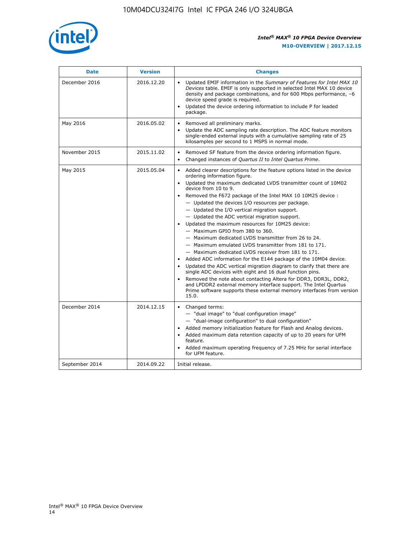

| <b>Date</b>    | <b>Version</b> | <b>Changes</b>                                                                                                                                                                                                                                                                                                                                                                                                                                                                                                                                                                                                                                                                                                                                                                                                                                                                                                                                                                                                                                                                                                  |
|----------------|----------------|-----------------------------------------------------------------------------------------------------------------------------------------------------------------------------------------------------------------------------------------------------------------------------------------------------------------------------------------------------------------------------------------------------------------------------------------------------------------------------------------------------------------------------------------------------------------------------------------------------------------------------------------------------------------------------------------------------------------------------------------------------------------------------------------------------------------------------------------------------------------------------------------------------------------------------------------------------------------------------------------------------------------------------------------------------------------------------------------------------------------|
| December 2016  | 2016.12.20     | • Updated EMIF information in the Summary of Features for Intel MAX 10<br>Devices table. EMIF is only supported in selected Intel MAX 10 device<br>density and package combinations, and for 600 Mbps performance, -6<br>device speed grade is required.<br>Updated the device ordering information to include P for leaded<br>package.                                                                                                                                                                                                                                                                                                                                                                                                                                                                                                                                                                                                                                                                                                                                                                         |
| May 2016       | 2016.05.02     | Removed all preliminary marks.<br>Update the ADC sampling rate description. The ADC feature monitors<br>single-ended external inputs with a cumulative sampling rate of 25<br>kilosamples per second to 1 MSPS in normal mode.                                                                                                                                                                                                                                                                                                                                                                                                                                                                                                                                                                                                                                                                                                                                                                                                                                                                                  |
| November 2015  | 2015.11.02     | Removed SF feature from the device ordering information figure.<br>$\bullet$<br>Changed instances of Quartus II to Intel Quartus Prime.<br>$\bullet$                                                                                                                                                                                                                                                                                                                                                                                                                                                                                                                                                                                                                                                                                                                                                                                                                                                                                                                                                            |
| May 2015       | 2015.05.04     | Added clearer descriptions for the feature options listed in the device<br>ordering information figure.<br>Updated the maximum dedicated LVDS transmitter count of 10M02<br>device from 10 to 9.<br>Removed the F672 package of the Intel MAX 10 10M25 device :<br>- Updated the devices I/O resources per package.<br>- Updated the I/O vertical migration support.<br>- Updated the ADC vertical migration support.<br>Updated the maximum resources for 10M25 device:<br>- Maximum GPIO from 380 to 360.<br>- Maximum dedicated LVDS transmitter from 26 to 24.<br>- Maximum emulated LVDS transmitter from 181 to 171.<br>- Maximum dedicated LVDS receiver from 181 to 171.<br>Added ADC information for the E144 package of the 10M04 device.<br>Updated the ADC vertical migration diagram to clarify that there are<br>single ADC devices with eight and 16 dual function pins.<br>Removed the note about contacting Altera for DDR3, DDR3L, DDR2,<br>and LPDDR2 external memory interface support. The Intel Quartus<br>Prime software supports these external memory interfaces from version<br>15.0. |
| December 2014  | 2014.12.15     | Changed terms:<br>- "dual image" to "dual configuration image"<br>- "dual-image configuration" to dual configuration"<br>Added memory initialization feature for Flash and Analog devices.<br>Added maximum data retention capacity of up to 20 years for UFM<br>feature.<br>Added maximum operating frequency of 7.25 MHz for serial interface<br>for UFM feature.                                                                                                                                                                                                                                                                                                                                                                                                                                                                                                                                                                                                                                                                                                                                             |
| September 2014 | 2014.09.22     | Initial release.                                                                                                                                                                                                                                                                                                                                                                                                                                                                                                                                                                                                                                                                                                                                                                                                                                                                                                                                                                                                                                                                                                |